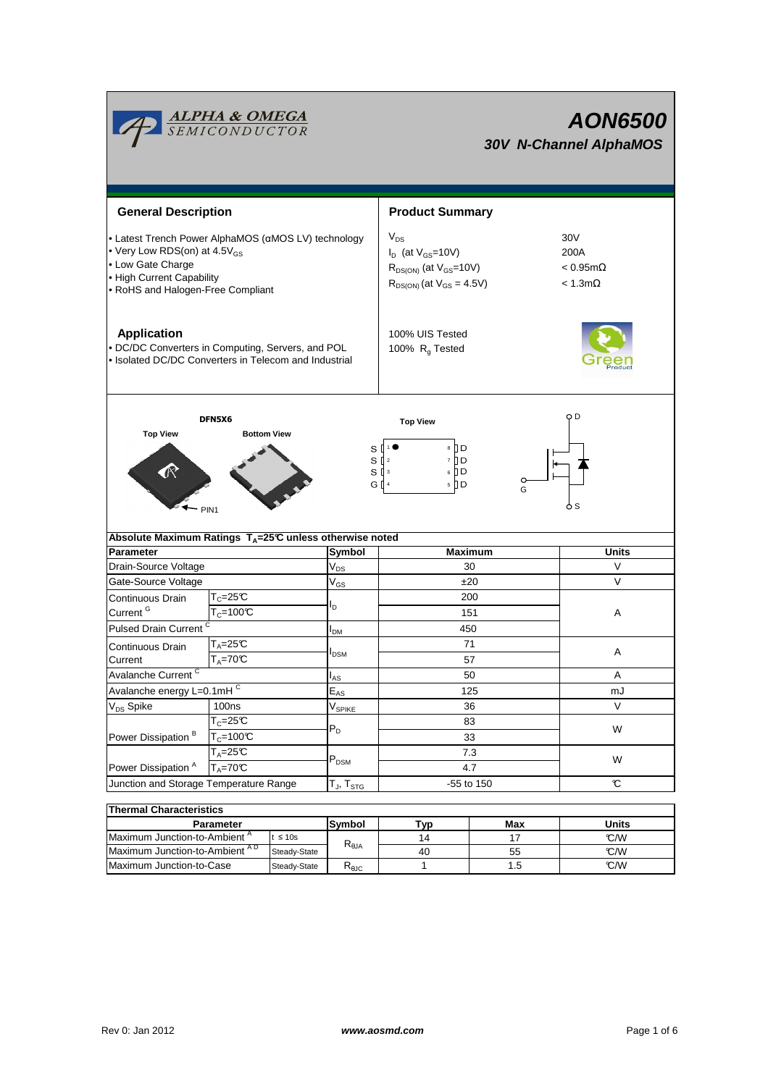

| Thermal Unaracteristics                  |               |                |      |     |       |  |  |  |  |  |
|------------------------------------------|---------------|----------------|------|-----|-------|--|--|--|--|--|
| <b>Parameter</b>                         |               | Svmbol         | Typ. | Max | Units |  |  |  |  |  |
| Maximum Junction-to-Ambient <sup>A</sup> | t $\leq 10$ s | $R_{\theta$ JA |      |     | C/W   |  |  |  |  |  |
| Maximum Junction-to-Ambient AD           | Steady-State  |                | 40   | 55  | C/W   |  |  |  |  |  |
| Maximum Junction-to-Case                 | Steady-State  | $R_{\theta$ JC |      | l.b | °C/W  |  |  |  |  |  |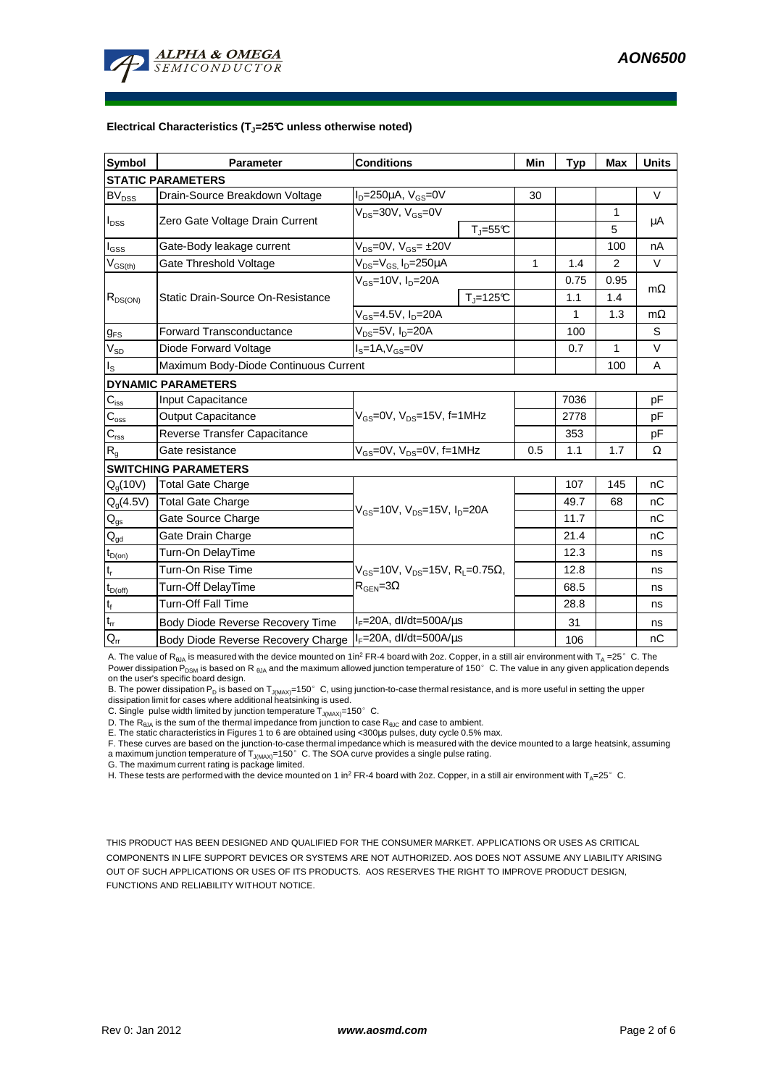

#### **Electrical Characteristics (TJ=25°C unless otherwise noted)**

| <b>Symbol</b>                           | <b>Parameter</b>                                                     | <b>Conditions</b>                                                                           |                          | Min | <b>Typ</b> | <b>Max</b>   | <b>Units</b> |  |  |  |  |
|-----------------------------------------|----------------------------------------------------------------------|---------------------------------------------------------------------------------------------|--------------------------|-----|------------|--------------|--------------|--|--|--|--|
| <b>STATIC PARAMETERS</b>                |                                                                      |                                                                                             |                          |     |            |              |              |  |  |  |  |
| <b>BV<sub>DSS</sub></b>                 | Drain-Source Breakdown Voltage                                       | $I_D = 250 \mu A$ , $V_{GS} = 0V$                                                           |                          | 30  |            |              | $\vee$       |  |  |  |  |
| $I_{DSS}$                               | Zero Gate Voltage Drain Current                                      | $V_{DS}$ =30V, $V_{GS}$ =0V<br>$T_{\text{J}} = 55^{\circ}C$                                 |                          |     |            | 1<br>5       | μA           |  |  |  |  |
| $I_{GSS}$                               | Gate-Body leakage current                                            | $V_{DS} = 0V$ , $V_{GS} = \pm 20V$                                                          |                          |     |            | 100          | nA           |  |  |  |  |
| $\mathsf{V}_{\mathsf{GS}(\mathsf{th})}$ | Gate Threshold Voltage                                               | $V_{DS} = V_{GS}$ , $I_D = 250 \mu A$                                                       |                          | 1   | 1.4        | 2            | $\vee$       |  |  |  |  |
| $R_{DS(ON)}$                            | Static Drain-Source On-Resistance                                    | $V_{GS}$ =10V, $I_{D}$ =20A                                                                 |                          |     | 0.75       | 0.95         |              |  |  |  |  |
|                                         |                                                                      |                                                                                             | $T_{\parallel} = 125$ °C |     | 1.1        | 1.4          | $m\Omega$    |  |  |  |  |
|                                         |                                                                      | $V_{GS} = 4.5V, I_D = 20A$                                                                  |                          |     | 1          | 1.3          | $m\Omega$    |  |  |  |  |
| $g_{FS}$                                | <b>Forward Transconductance</b>                                      | $V_{DS}$ =5V, I <sub>D</sub> =20A                                                           |                          |     | 100        |              | S            |  |  |  |  |
| $V_{SD}$                                | Diode Forward Voltage                                                | $IS=1A, VGS=0V$                                                                             |                          |     | 0.7        | $\mathbf{1}$ | $\vee$       |  |  |  |  |
| $I_{\rm S}$                             | Maximum Body-Diode Continuous Current                                |                                                                                             |                          |     |            | 100          | A            |  |  |  |  |
|                                         | <b>DYNAMIC PARAMETERS</b>                                            |                                                                                             |                          |     |            |              |              |  |  |  |  |
| $C_{\text{iss}}$                        | Input Capacitance                                                    | V <sub>GS</sub> =0V, V <sub>DS</sub> =15V, f=1MHz                                           |                          |     | 7036       |              | pF           |  |  |  |  |
| $C_{\rm oss}$                           | <b>Output Capacitance</b>                                            |                                                                                             |                          |     | 2778       |              | pF           |  |  |  |  |
| $C_{\text{rss}}$                        | Reverse Transfer Capacitance                                         |                                                                                             |                          |     | 353        |              | pF           |  |  |  |  |
| $R_{q}$                                 | Gate resistance                                                      | $V_{GS}$ =0V, $V_{DS}$ =0V, f=1MHz                                                          |                          | 0.5 | 1.1        | 1.7          | Ω            |  |  |  |  |
|                                         | <b>SWITCHING PARAMETERS</b>                                          |                                                                                             |                          |     |            |              |              |  |  |  |  |
| Q <sub>q</sub> (10V)                    | <b>Total Gate Charge</b>                                             | $V_{GS}$ =10V, $V_{DS}$ =15V, $I_{D}$ =20A                                                  |                          |     | 107        | 145          | nC           |  |  |  |  |
| $Q_g(4.5V)$                             | <b>Total Gate Charge</b>                                             |                                                                                             |                          |     | 49.7       | 68           | nC           |  |  |  |  |
| $Q_{gs}$                                | Gate Source Charge                                                   |                                                                                             |                          |     | 11.7       |              | nС           |  |  |  |  |
| $\mathsf{Q}_{\underline{\mathsf{gd}}}$  | Gate Drain Charge                                                    |                                                                                             |                          |     | 21.4       |              | nC           |  |  |  |  |
| $\mathsf{t}_{\mathsf{D}(\mathsf{on})}$  | Turn-On DelayTime                                                    | $V_{GS}$ =10V, $V_{DS}$ =15V, R <sub>L</sub> =0.75 $\Omega$ ,<br>$R_{\text{GEN}} = 3\Omega$ |                          |     | 12.3       |              | ns           |  |  |  |  |
| $\mathfrak{t}_{\mathsf{r}}$             | Turn-On Rise Time                                                    |                                                                                             |                          |     | 12.8       |              | ns           |  |  |  |  |
| $t_{D(off)}$                            | Turn-Off DelayTime                                                   |                                                                                             |                          |     | 68.5       |              | ns           |  |  |  |  |
| $\mathbf{t}_\text{f}$                   | <b>Turn-Off Fall Time</b>                                            |                                                                                             |                          |     | 28.8       |              | ns           |  |  |  |  |
| $t_{rr}$                                | Body Diode Reverse Recovery Time                                     | $I_F = 20A$ , dl/dt=500A/ $\mu$ s                                                           |                          |     | 31         |              | ns           |  |  |  |  |
| $Q_{rr}$                                | $IF=20A$ , dl/dt=500A/ $\mu$ s<br>Body Diode Reverse Recovery Charge |                                                                                             |                          | 106 |            | nC           |              |  |  |  |  |

A. The value of R<sub>θJA</sub> is measured with the device mounted on 1in<sup>2</sup> FR-4 board with 2oz. Copper, in a still air environment with T<sub>A</sub> =25°C. The Power dissipation  $P_{DSM}$  is based on R  $_{0JA}$  and the maximum allowed junction temperature of 150° C. The value in any given application depends on the user's specific board design.

B. The power dissipation P<sub>D</sub> is based on T<sub>J(MAX)</sub>=150°C, using junction-to-case thermal resistance, and is more useful in setting the upper dissipation limit for cases where additional heatsinking is used.

C. Single pulse width limited by junction temperature  $T_{J(MAX)}$ =150°C.

D. The  $R_{\theta_0A}$  is the sum of the thermal impedance from junction to case  $R_{\theta_0C}$  and case to ambient.

E. The static characteristics in Figures 1 to 6 are obtained using <300µs pulses, duty cycle 0.5% max.

F. These curves are based on the junction-to-case thermal impedance which is measured with the device mounted to a large heatsink, assuming a maximum junction temperature of T<sub>J(MAX)</sub>=150°C. The SOA curve provides a single pulse rating.<br>G. The maximum current rating is package limited.

H. These tests are performed with the device mounted on 1 in<sup>2</sup> FR-4 board with 2oz. Copper, in a still air environment with T<sub>A</sub>=25°C.

THIS PRODUCT HAS BEEN DESIGNED AND QUALIFIED FOR THE CONSUMER MARKET. APPLICATIONS OR USES AS CRITICAL COMPONENTS IN LIFE SUPPORT DEVICES OR SYSTEMS ARE NOT AUTHORIZED. AOS DOES NOT ASSUME ANY LIABILITY ARISING OUT OF SUCH APPLICATIONS OR USES OF ITS PRODUCTS. AOS RESERVES THE RIGHT TO IMPROVE PRODUCT DESIGN, FUNCTIONS AND RELIABILITY WITHOUT NOTICE.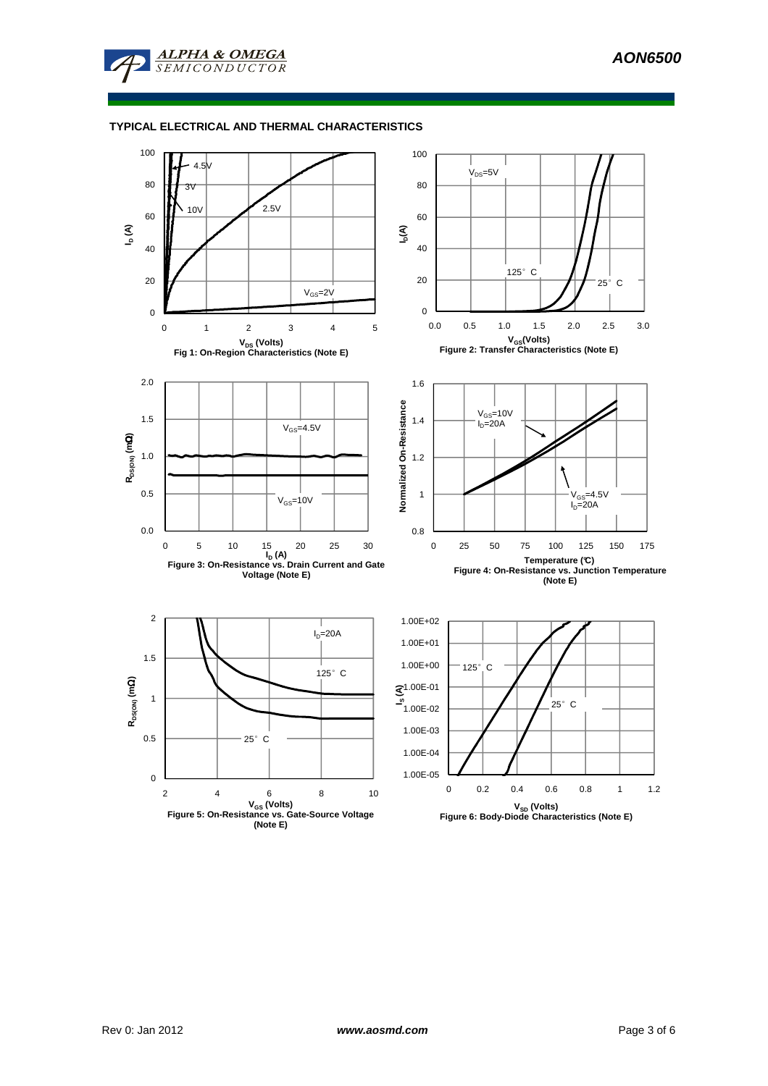

## **TYPICAL ELECTRICAL AND THERMAL CHARACTERISTICS**

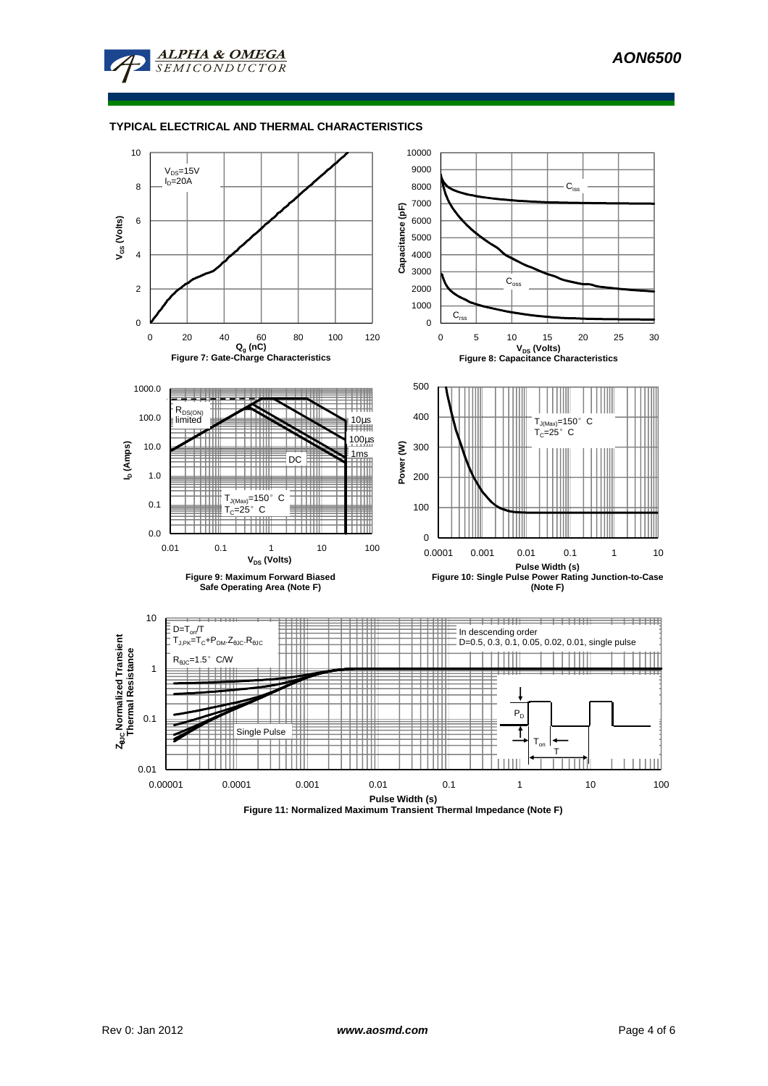

#### **TYPICAL ELECTRICAL AND THERMAL CHARACTERISTICS**



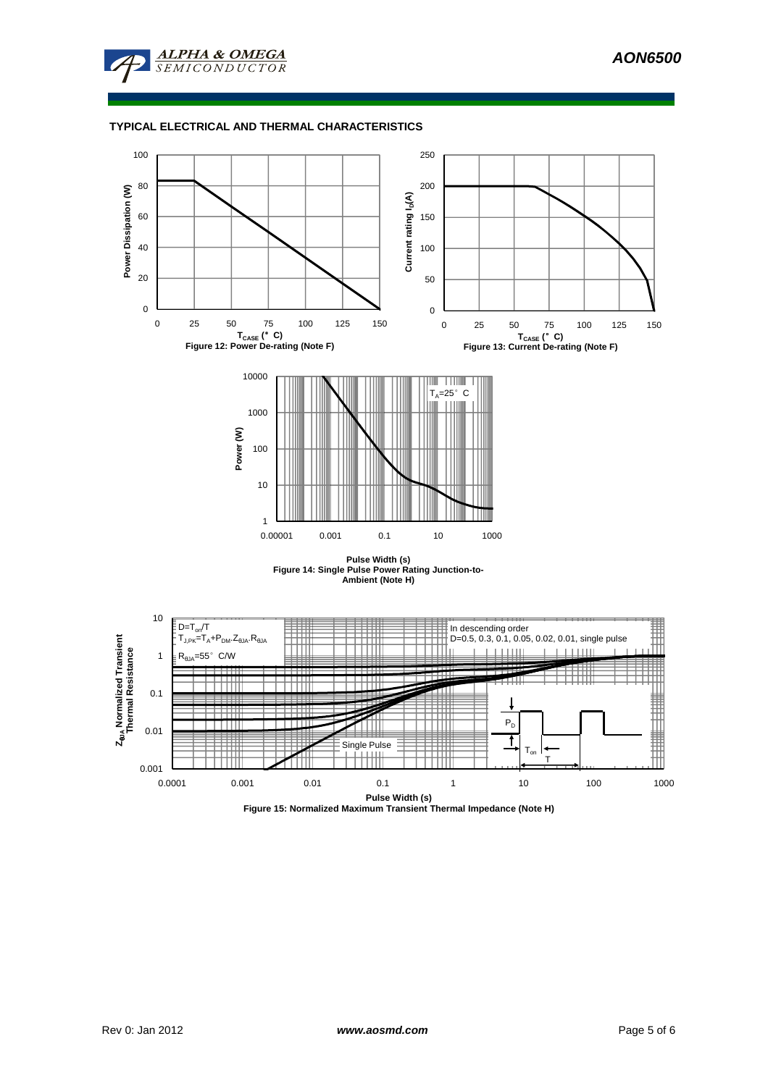

# **TYPICAL ELECTRICAL AND THERMAL CHARACTERISTICS**



**Pulse Width (s) Figure 14: Single Pulse Power Rating Junction-to-Ambient (Note H)**

0.00001 0.001 0.1 10 1000